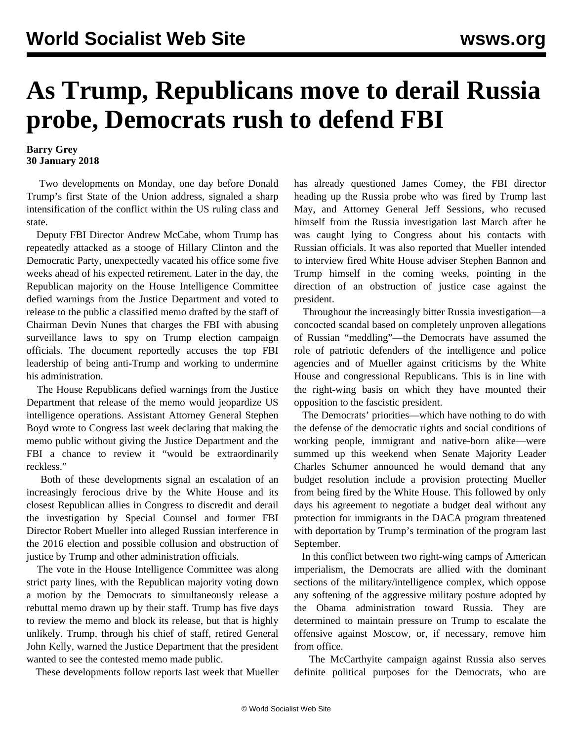## **As Trump, Republicans move to derail Russia probe, Democrats rush to defend FBI**

## **Barry Grey 30 January 2018**

 Two developments on Monday, one day before Donald Trump's first State of the Union address, signaled a sharp intensification of the conflict within the US ruling class and state.

 Deputy FBI Director Andrew McCabe, whom Trump has repeatedly attacked as a stooge of Hillary Clinton and the Democratic Party, unexpectedly vacated his office some five weeks ahead of his expected retirement. Later in the day, the Republican majority on the House Intelligence Committee defied warnings from the Justice Department and voted to release to the public a classified memo drafted by the staff of Chairman Devin Nunes that charges the FBI with abusing surveillance laws to spy on Trump election campaign officials. The document reportedly accuses the top FBI leadership of being anti-Trump and working to undermine his administration.

 The House Republicans defied warnings from the Justice Department that release of the memo would jeopardize US intelligence operations. Assistant Attorney General Stephen Boyd wrote to Congress last week declaring that making the memo public without giving the Justice Department and the FBI a chance to review it "would be extraordinarily reckless."

 Both of these developments signal an escalation of an increasingly ferocious drive by the White House and its closest Republican allies in Congress to discredit and derail the investigation by Special Counsel and former FBI Director Robert Mueller into alleged Russian interference in the 2016 election and possible collusion and obstruction of justice by Trump and other administration officials.

 The vote in the House Intelligence Committee was along strict party lines, with the Republican majority voting down a motion by the Democrats to simultaneously release a rebuttal memo drawn up by their staff. Trump has five days to review the memo and block its release, but that is highly unlikely. Trump, through his chief of staff, retired General John Kelly, warned the Justice Department that the president wanted to see the contested memo made public.

These developments follow reports last week that Mueller

has already questioned James Comey, the FBI director heading up the Russia probe who was fired by Trump last May, and Attorney General Jeff Sessions, who recused himself from the Russia investigation last March after he was caught lying to Congress about his contacts with Russian officials. It was also reported that Mueller intended to interview fired White House adviser Stephen Bannon and Trump himself in the coming weeks, pointing in the direction of an obstruction of justice case against the president.

 Throughout the increasingly bitter Russia investigation—a concocted scandal based on completely unproven allegations of Russian "meddling"—the Democrats have assumed the role of patriotic defenders of the intelligence and police agencies and of Mueller against criticisms by the White House and congressional Republicans. This is in line with the right-wing basis on which they have mounted their opposition to the fascistic president.

 The Democrats' priorities—which have nothing to do with the defense of the democratic rights and social conditions of working people, immigrant and native-born alike—were summed up this weekend when Senate Majority Leader Charles Schumer announced he would demand that any budget resolution include a provision protecting Mueller from being fired by the White House. This followed by only days his agreement to negotiate a budget deal without any protection for immigrants in the DACA program threatened with deportation by Trump's termination of the program last September.

 In this conflict between two right-wing camps of American imperialism, the Democrats are allied with the dominant sections of the military/intelligence complex, which oppose any softening of the aggressive military posture adopted by the Obama administration toward Russia. They are determined to maintain pressure on Trump to escalate the offensive against Moscow, or, if necessary, remove him from office.

 The McCarthyite campaign against Russia also serves definite political purposes for the Democrats, who are